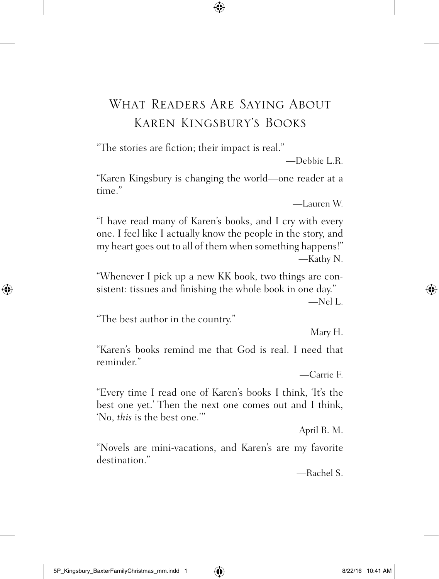## What Readers Are Saying About Karen Kingsbury's Books

"The stories are fiction; their impact is real."

—Debbie L.R.

"Karen Kingsbury is changing the world—one reader at a time."

—Lauren W.

"I have read many of Karen's books, and I cry with every one. I feel like I actually know the people in the story, and my heart goes out to all of them when something happens!" —Kathy N.

"Whenever I pick up a new KK book, two things are consistent: tissues and finishing the whole book in one day."

 $Nel L$ 

"The best author in the country."

—Mary H.

"Karen's books remind me that God is real. I need that reminder."

—Carrie F.

"Every time I read one of Karen's books I think, 'It's the best one yet.' Then the next one comes out and I think, 'No, *this* is the best one.'"

—April B. M.

"Novels are mini-vacations, and Karen's are my favorite destination."

—Rachel S.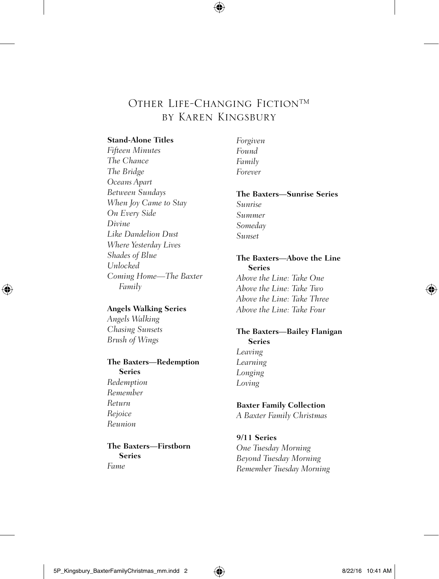### Other Life-Changing Fiction™ by Karen Kingsbury

#### **Stand-Alone Titles**

*Fifteen Minutes The Chance The Bridge Oceans Apart Between Sundays When Joy Came to Stay On Every Side Divine Like Dandelion Dust Where Yesterday Lives Shades of Blue Unlocked Coming Home—The Baxter Family*

#### **Angels Walking Series**

*Angels Walking Chasing Sunsets Brush of Wings*

#### **The Baxters—Redemption Series**

*Redemption Remember Return Rejoice Reunion*

**The Baxters—Firstborn Series** *Fame*

*Forgiven Found Family Forever*

#### **The Baxters—Sunrise Series**

*Sunrise Summer Someday Sunset*

#### **The Baxters—Above the Line Series** *Above the Line: Take One*

*Above the Line: Take Two Above the Line: Take Three Above the Line: Take Four*

#### **The Baxters—Bailey Flanigan Series** *Leaving*

*Learning Longing Loving*

#### **Baxter Family Collection**

*A Baxter Family Christmas*

#### **9/11 Series** *One Tuesday Morning Beyond Tuesday Morning Remember Tuesday Morning*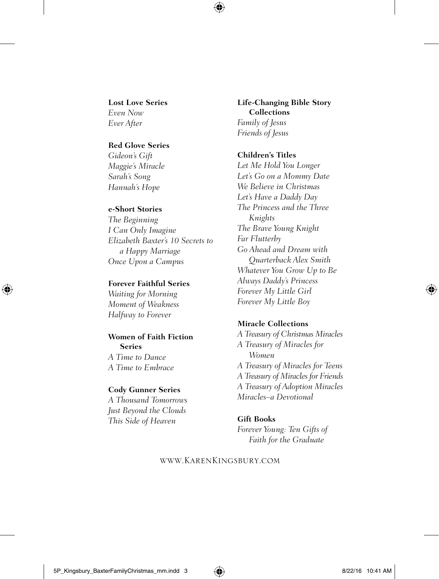**Lost Love Series** *Even Now*

*Ever After*

#### **Red Glove Series**

*Gideon's Gift Maggie's Miracle Sarah's Song Hannah's Hope*

#### **e-Short Stories**

*The Beginning I Can Only Imagine Elizabeth Baxter's 10 Secrets to a Happy Marriage Once Upon a Campus*

#### **Forever Faithful Series**

*Waiting for Morning Moment of Weakness Halfway to Forever*

#### **Women of Faith Fiction Series**

*A Time to Dance A Time to Embrace*

#### **Cody Gunner Series**

*A Thousand Tomorrows Just Beyond the Clouds This Side of Heaven*

**Life-Changing Bible Story Collections** *Family of Jesus*

*Friends of Jesus*

#### **Children's Titles**

*Let Me Hold You Longer Let's Go on a Mommy Date We Believe in Christmas Let's Have a Daddy Day The Princess and the Three Knights The Brave Young Knight Far Flutterby Go Ahead and Dream with Quarterback Alex Smith Whatever You Grow Up to Be Always Daddy's Princess Forever My Little Girl Forever My Little Boy*

#### **Miracle Collections**

*A Treasury of Christmas Miracles A Treasury of Miracles for Women A Treasury of Miracles for Teens A Treasury of Miracles for Friends A Treasury of Adoption Miracles Miracles–a Devotional*

#### **Gift Books**

*Forever Young: Ten Gifts of Faith for the Graduate*

#### www.KarenKingsbury.com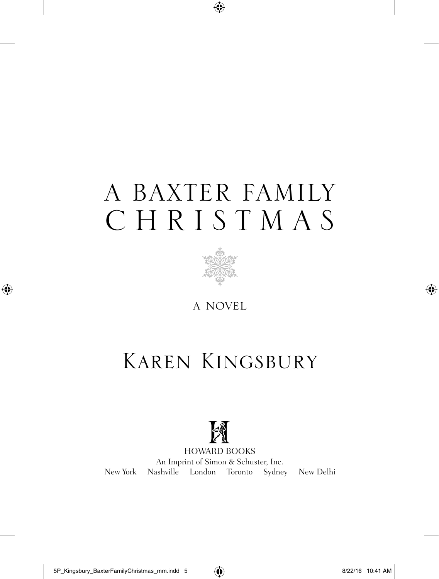# A BAXTER FAMILY CHRISTMAS



a novel

## Karen Kingsbury



HOWARD BOOKS An Imprint of Simon & Schuster, Inc. New York Nashville London Toronto Sydney New Delhi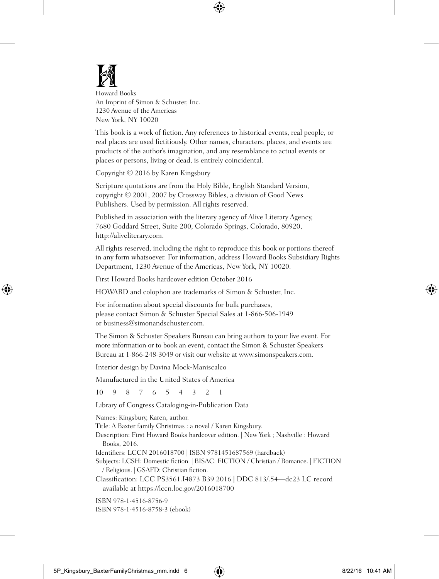

Howard Books An Imprint of Simon & Schuster, Inc. 1230 Avenue of the Americas New York, NY 10020

This book is a work of fiction. Any references to historical events, real people, or real places are used fictitiously. Other names, characters, places, and events are products of the author's imagination, and any resemblance to actual events or places or persons, living or dead, is entirely coincidental.

Copyright © 2016 by Karen Kingsbury

Scripture quotations are from the Holy Bible, English Standard Version, copyright © 2001, 2007 by Crossway Bibles, a division of Good News Publishers. Used by permission. All rights reserved.

Published in association with the literary agency of Alive Literary Agency, 7680 Goddard Street, Suite 200, Colorado Springs, Colorado, 80920, http://aliveliterary.com.

All rights reserved, including the right to reproduce this book or portions thereof in any form whatsoever. For information, address Howard Books Subsidiary Rights Department, 1230 Avenue of the Americas, New York, NY 10020.

First Howard Books hardcover edition October 2016

HOWARD and colophon are trademarks of Simon & Schuster, Inc.

For information about special discounts for bulk purchases, please contact Simon & Schuster Special Sales at 1-866-506-1949 or business@simonandschuster.com.

The Simon & Schuster Speakers Bureau can bring authors to your live event. For more information or to book an event, contact the Simon & Schuster Speakers Bureau at 1-866-248-3049 or visit our website at www.simonspeakers.com.

Interior design by Davina Mock-Maniscalco

Manufactured in the United States of America

10 9 8 7 6 5 4 3 2 1

Library of Congress Cataloging-in-Publication Data

Names: Kingsbury, Karen, author.

Title: A Baxter family Christmas : a novel / Karen Kingsbury.

Description: First Howard Books hardcover edition. | New York ; Nashville : Howard Books, 2016.

Identifiers: LCCN 2016018700 | ISBN 9781451687569 (hardback)

Subjects: LCSH: Domestic fiction. | BISAC: FICTION / Christian / Romance. | FICTION / Religious. | GSAFD: Christian fiction.

Classification: LCC PS3561.I4873 B39 2016 | DDC 813/.54—dc23 LC record available at https://lccn.loc.gov/2016018700

ISBN 978-1-4516-8756-9 ISBN 978-1-4516-8758-3 (ebook)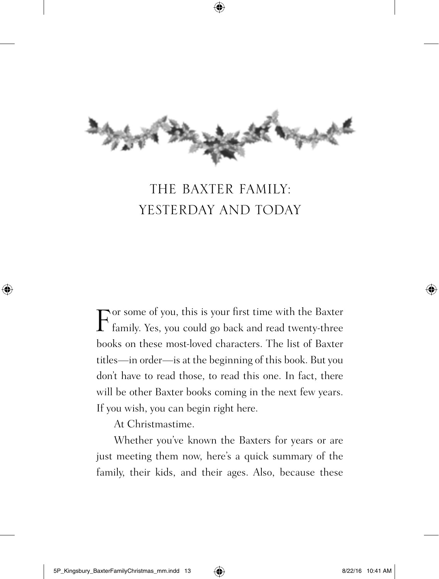

## THE BAXTER FAMILY: YESTERDAY AND TODAY

 $\Gamma$  family. Yes, you could go back and read twenty-three family. Yes, you could go back and read twenty-three books on these most-loved characters. The list of Baxter titles—in order—is at the beginning of this book. But you don't have to read those, to read this one. In fact, there will be other Baxter books coming in the next few years. If you wish, you can begin right here.

At Christmastime.

Whether you've known the Baxters for years or are just meeting them now, here's a quick summary of the family, their kids, and their ages. Also, because these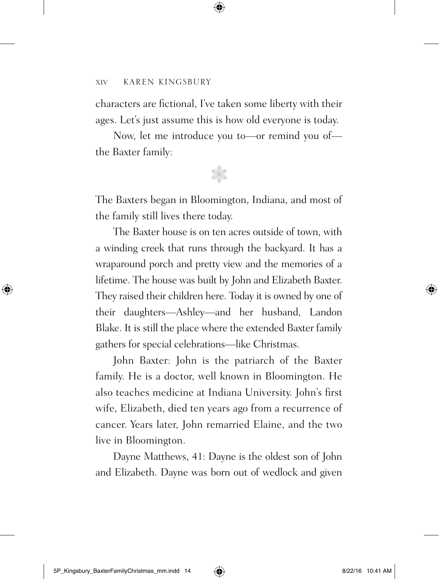characters are fictional, I've taken some liberty with their ages. Let's just assume this is how old everyone is today.

Now, let me introduce you to—or remind you of the Baxter family:



The Baxters began in Bloomington, Indiana, and most of the family still lives there today.

The Baxter house is on ten acres outside of town, with a winding creek that runs through the backyard. It has a wraparound porch and pretty view and the memories of a lifetime. The house was built by John and Elizabeth Baxter. They raised their children here. Today it is owned by one of their daughters—Ashley—and her husband, Landon Blake. It is still the place where the extended Baxter family gathers for special celebrations—like Christmas.

John Baxter: John is the patriarch of the Baxter family. He is a doctor, well known in Bloomington. He also teaches medicine at Indiana University. John's first wife, Elizabeth, died ten years ago from a recurrence of cancer. Years later, John remarried Elaine, and the two live in Bloomington.

Dayne Matthews, 41: Dayne is the oldest son of John and Elizabeth. Dayne was born out of wedlock and given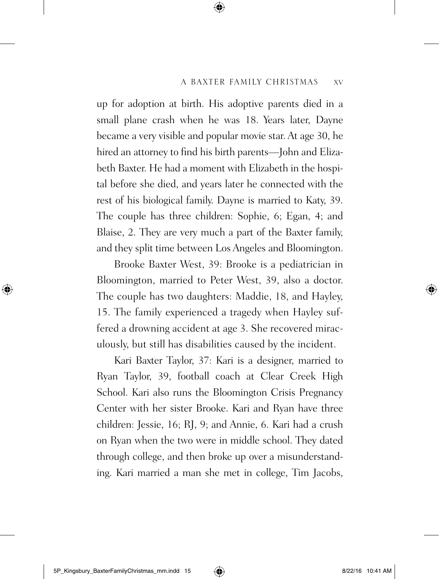up for adoption at birth. His adoptive parents died in a small plane crash when he was 18. Years later, Dayne became a very visible and popular movie star. At age 30, he hired an attorney to find his birth parents—John and Elizabeth Baxter. He had a moment with Elizabeth in the hospital before she died, and years later he connected with the rest of his biological family. Dayne is married to Katy, 39. The couple has three children: Sophie, 6; Egan, 4; and Blaise, 2. They are very much a part of the Baxter family, and they split time between Los Angeles and Bloomington.

Brooke Baxter West, 39: Brooke is a pediatrician in Bloomington, married to Peter West, 39, also a doctor. The couple has two daughters: Maddie, 18, and Hayley, 15. The family experienced a tragedy when Hayley suffered a drowning accident at age 3. She recovered miraculously, but still has disabilities caused by the incident.

Kari Baxter Taylor, 37: Kari is a designer, married to Ryan Taylor, 39, football coach at Clear Creek High School. Kari also runs the Bloomington Crisis Pregnancy Center with her sister Brooke. Kari and Ryan have three children: Jessie, 16; RJ, 9; and Annie, 6. Kari had a crush on Ryan when the two were in middle school. They dated through college, and then broke up over a misunderstanding. Kari married a man she met in college, Tim Jacobs,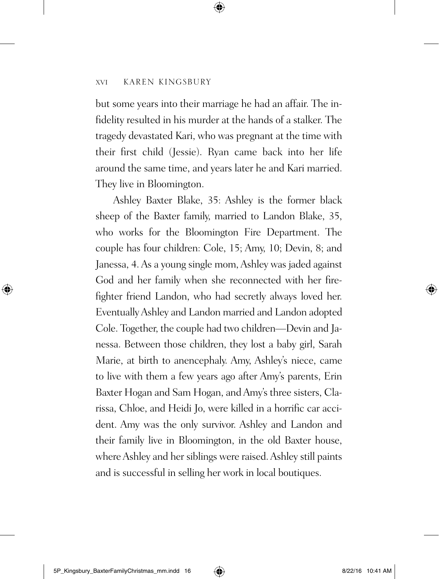but some years into their marriage he had an affair. The infidelity resulted in his murder at the hands of a stalker. The tragedy devastated Kari, who was pregnant at the time with their first child (Jessie). Ryan came back into her life around the same time, and years later he and Kari married. They live in Bloomington.

Ashley Baxter Blake, 35: Ashley is the former black sheep of the Baxter family, married to Landon Blake, 35, who works for the Bloomington Fire Department. The couple has four children: Cole, 15; Amy, 10; Devin, 8; and Janessa, 4. As a young single mom, Ashley was jaded against God and her family when she reconnected with her firefighter friend Landon, who had secretly always loved her. Eventually Ashley and Landon married and Landon adopted Cole. Together, the couple had two children—Devin and Janessa. Between those children, they lost a baby girl, Sarah Marie, at birth to anencephaly. Amy, Ashley's niece, came to live with them a few years ago after Amy's parents, Erin Baxter Hogan and Sam Hogan, and Amy's three sisters, Clarissa, Chloe, and Heidi Jo, were killed in a horrific car accident. Amy was the only survivor. Ashley and Landon and their family live in Bloomington, in the old Baxter house, where Ashley and her siblings were raised. Ashley still paints and is successful in selling her work in local boutiques.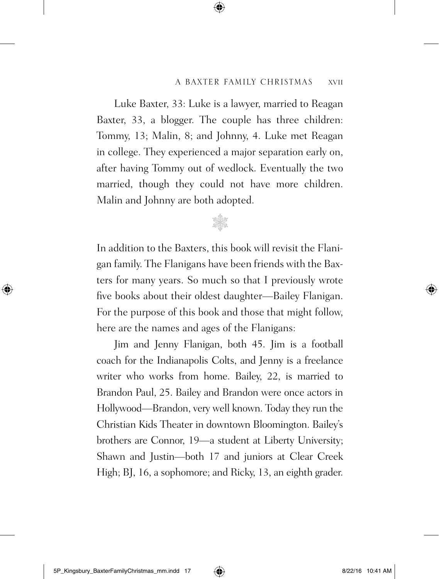Luke Baxter, 33: Luke is a lawyer, married to Reagan Baxter, 33, a blogger. The couple has three children: Tommy, 13; Malin, 8; and Johnny, 4. Luke met Reagan in college. They experienced a major separation early on, after having Tommy out of wedlock. Eventually the two married, though they could not have more children. Malin and Johnny are both adopted.

In addition to the Baxters, this book will revisit the Flanigan family. The Flanigans have been friends with the Baxters for many years. So much so that I previously wrote five books about their oldest daughter—Bailey Flanigan. For the purpose of this book and those that might follow, here are the names and ages of the Flanigans:

\* Station

Jim and Jenny Flanigan, both 45. Jim is a football coach for the Indianapolis Colts, and Jenny is a freelance writer who works from home. Bailey, 22, is married to Brandon Paul, 25. Bailey and Brandon were once actors in Hollywood—Brandon, very well known. Today they run the Christian Kids Theater in downtown Bloomington. Bailey's brothers are Connor, 19—a student at Liberty University; Shawn and Justin—both 17 and juniors at Clear Creek High; BJ, 16, a sophomore; and Ricky, 13, an eighth grader.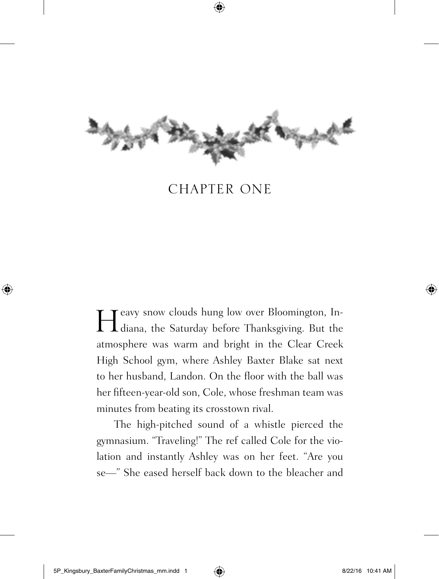

## CHAPTER ONE

Heavy snow clouds hung low over Bloomington, Indiana, the Saturday before Thanksgiving. But the diana, the Saturday before Thanksgiving. But the atmosphere was warm and bright in the Clear Creek High School gym, where Ashley Baxter Blake sat next to her husband, Landon. On the floor with the ball was her fifteen-year-old son, Cole, whose freshman team was minutes from beating its crosstown rival.

The high-pitched sound of a whistle pierced the gymnasium. "Traveling!" The ref called Cole for the violation and instantly Ashley was on her feet. "Are you se—" She eased herself back down to the bleacher and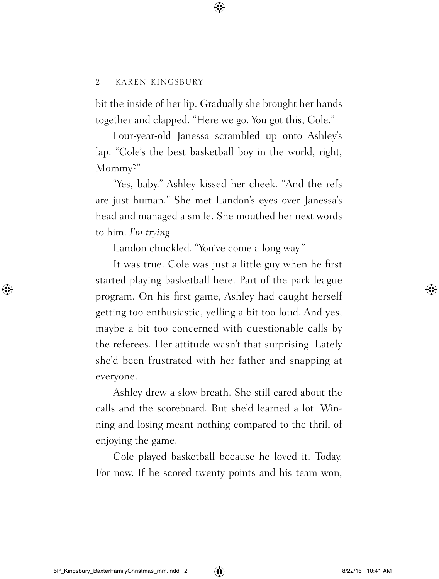bit the inside of her lip. Gradually she brought her hands together and clapped. "Here we go. You got this, Cole."

Four-year-old Janessa scrambled up onto Ashley's lap. "Cole's the best basketball boy in the world, right, Mommy?"

"Yes, baby." Ashley kissed her cheek. "And the refs are just human." She met Landon's eyes over Janessa's head and managed a smile. She mouthed her next words to him. *I'm trying.*

Landon chuckled. "You've come a long way."

It was true. Cole was just a little guy when he first started playing basketball here. Part of the park league program. On his first game, Ashley had caught herself getting too enthusiastic, yelling a bit too loud. And yes, maybe a bit too concerned with questionable calls by the referees. Her attitude wasn't that surprising. Lately she'd been frustrated with her father and snapping at everyone.

Ashley drew a slow breath. She still cared about the calls and the scoreboard. But she'd learned a lot. Winning and losing meant nothing compared to the thrill of enjoying the game.

Cole played basketball because he loved it. Today. For now. If he scored twenty points and his team won,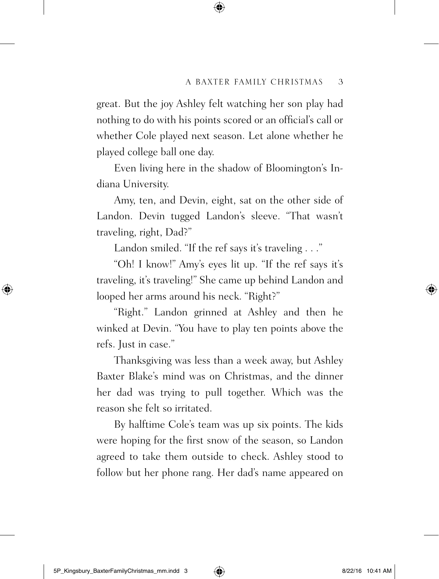great. But the joy Ashley felt watching her son play had nothing to do with his points scored or an official's call or whether Cole played next season. Let alone whether he played college ball one day.

Even living here in the shadow of Bloomington's Indiana University.

Amy, ten, and Devin, eight, sat on the other side of Landon. Devin tugged Landon's sleeve. "That wasn't traveling, right, Dad?"

Landon smiled. "If the ref says it's traveling . . ."

"Oh! I know!" Amy's eyes lit up. "If the ref says it's traveling, it's traveling!" She came up behind Landon and looped her arms around his neck. "Right?"

"Right." Landon grinned at Ashley and then he winked at Devin. "You have to play ten points above the refs. Just in case."

Thanksgiving was less than a week away, but Ashley Baxter Blake's mind was on Christmas, and the dinner her dad was trying to pull together. Which was the reason she felt so irritated.

By halftime Cole's team was up six points. The kids were hoping for the first snow of the season, so Landon agreed to take them outside to check. Ashley stood to follow but her phone rang. Her dad's name appeared on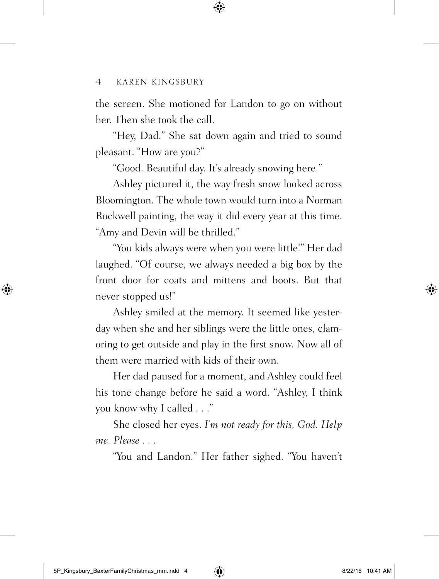the screen. She motioned for Landon to go on without her. Then she took the call.

"Hey, Dad." She sat down again and tried to sound pleasant. "How are you?"

"Good. Beautiful day. It's already snowing here."

Ashley pictured it, the way fresh snow looked across Bloomington. The whole town would turn into a Norman Rockwell painting, the way it did every year at this time. "Amy and Devin will be thrilled."

"You kids always were when you were little!" Her dad laughed. "Of course, we always needed a big box by the front door for coats and mittens and boots. But that never stopped us!"

Ashley smiled at the memory. It seemed like yesterday when she and her siblings were the little ones, clamoring to get outside and play in the first snow. Now all of them were married with kids of their own.

Her dad paused for a moment, and Ashley could feel his tone change before he said a word. "Ashley, I think you know why I called . . ."

She closed her eyes. *I'm not ready for this, God. Help me. Please . . .*

"You and Landon." Her father sighed. "You haven't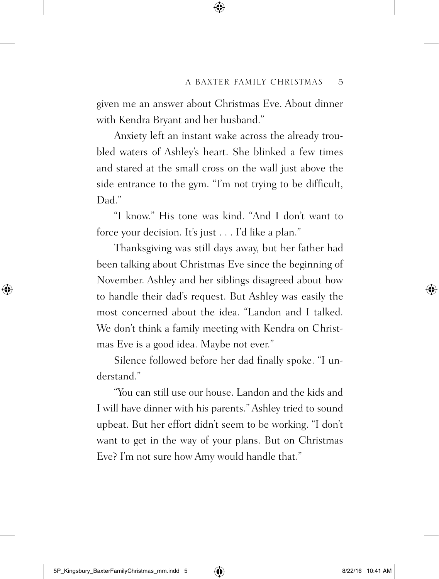given me an answer about Christmas Eve. About dinner with Kendra Bryant and her husband."

Anxiety left an instant wake across the already troubled waters of Ashley's heart. She blinked a few times and stared at the small cross on the wall just above the side entrance to the gym. "I'm not trying to be difficult, Dad."

"I know." His tone was kind. "And I don't want to force your decision. It's just . . . I'd like a plan."

Thanksgiving was still days away, but her father had been talking about Christmas Eve since the beginning of November. Ashley and her siblings disagreed about how to handle their dad's request. But Ashley was easily the most concerned about the idea. "Landon and I talked. We don't think a family meeting with Kendra on Christmas Eve is a good idea. Maybe not ever."

Silence followed before her dad finally spoke. "I understand<sup>"</sup>

"You can still use our house. Landon and the kids and I will have dinner with his parents." Ashley tried to sound upbeat. But her effort didn't seem to be working. "I don't want to get in the way of your plans. But on Christmas Eve? I'm not sure how Amy would handle that."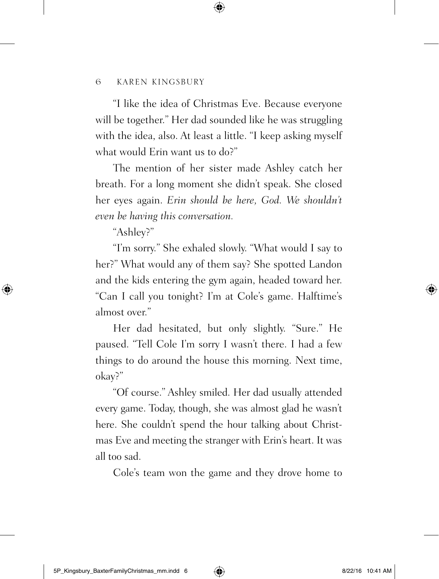"I like the idea of Christmas Eve. Because everyone will be together." Her dad sounded like he was struggling with the idea, also. At least a little. "I keep asking myself what would Erin want us to do?"

The mention of her sister made Ashley catch her breath. For a long moment she didn't speak. She closed her eyes again. *Erin should be here, God. We shouldn't even be having this conversation.*

"Ashley?"

"I'm sorry." She exhaled slowly. "What would I say to her?" What would any of them say? She spotted Landon and the kids entering the gym again, headed toward her. "Can I call you tonight? I'm at Cole's game. Halftime's almost over."

Her dad hesitated, but only slightly. "Sure." He paused. "Tell Cole I'm sorry I wasn't there. I had a few things to do around the house this morning. Next time, okay?"

"Of course." Ashley smiled. Her dad usually attended every game. Today, though, she was almost glad he wasn't here. She couldn't spend the hour talking about Christmas Eve and meeting the stranger with Erin's heart. It was all too sad.

Cole's team won the game and they drove home to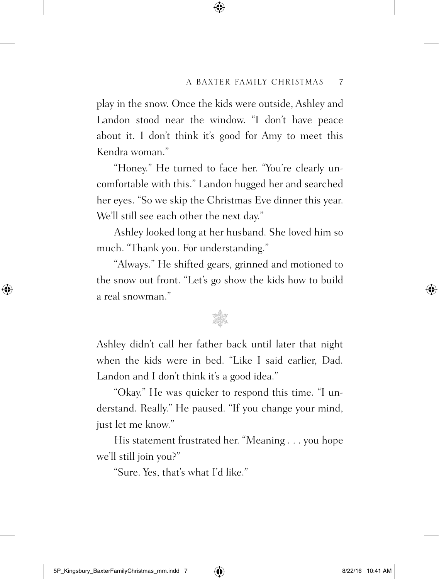play in the snow. Once the kids were outside, Ashley and Landon stood near the window. "I don't have peace about it. I don't think it's good for Amy to meet this Kendra woman."

"Honey." He turned to face her. "You're clearly uncomfortable with this." Landon hugged her and searched her eyes. "So we skip the Christmas Eve dinner this year. We'll still see each other the next day."

Ashley looked long at her husband. She loved him so much. "Thank you. For understanding."

"Always." He shifted gears, grinned and motioned to the snow out front. "Let's go show the kids how to build a real snowman."

## riya

Ashley didn't call her father back until later that night when the kids were in bed. "Like I said earlier, Dad. Landon and I don't think it's a good idea."

"Okay." He was quicker to respond this time. "I understand. Really." He paused. "If you change your mind, just let me know."

His statement frustrated her. "Meaning . . . you hope we'll still join you?"

"Sure. Yes, that's what I'd like."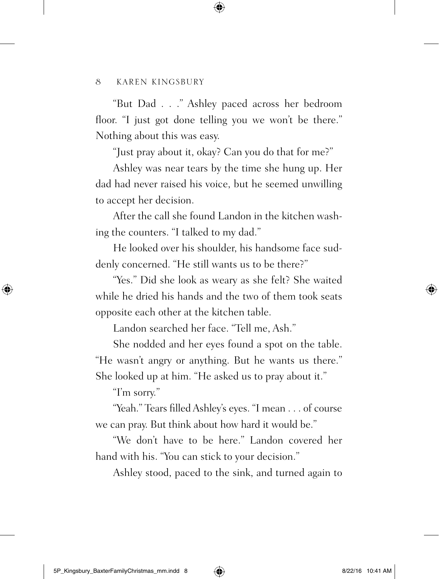"But Dad . . ." Ashley paced across her bedroom floor. "I just got done telling you we won't be there." Nothing about this was easy.

"Just pray about it, okay? Can you do that for me?"

Ashley was near tears by the time she hung up. Her dad had never raised his voice, but he seemed unwilling to accept her decision.

After the call she found Landon in the kitchen washing the counters. "I talked to my dad."

He looked over his shoulder, his handsome face suddenly concerned. "He still wants us to be there?"

"Yes." Did she look as weary as she felt? She waited while he dried his hands and the two of them took seats opposite each other at the kitchen table.

Landon searched her face. "Tell me, Ash."

She nodded and her eyes found a spot on the table. "He wasn't angry or anything. But he wants us there." She looked up at him. "He asked us to pray about it."

"I'm sorry."

"Yeah." Tears filled Ashley's eyes. "I mean . . . of course we can pray. But think about how hard it would be."

"We don't have to be here." Landon covered her hand with his. "You can stick to your decision."

Ashley stood, paced to the sink, and turned again to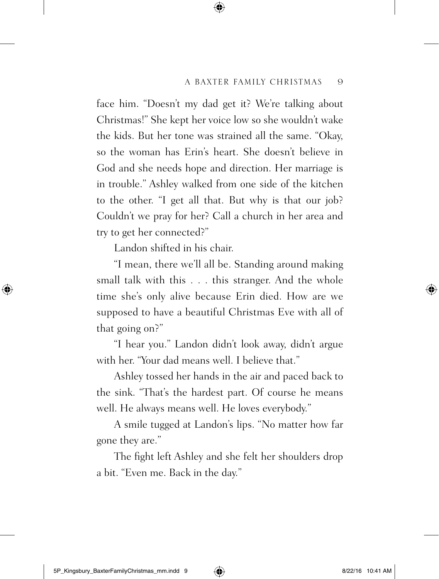face him. "Doesn't my dad get it? We're talking about Christmas!" She kept her voice low so she wouldn't wake the kids. But her tone was strained all the same. "Okay, so the woman has Erin's heart. She doesn't believe in God and she needs hope and direction. Her marriage is in trouble." Ashley walked from one side of the kitchen to the other. "I get all that. But why is that our job? Couldn't we pray for her? Call a church in her area and try to get her connected?"

Landon shifted in his chair.

"I mean, there we'll all be. Standing around making small talk with this . . . this stranger. And the whole time she's only alive because Erin died. How are we supposed to have a beautiful Christmas Eve with all of that going on?"

"I hear you." Landon didn't look away, didn't argue with her. "Your dad means well. I believe that."

Ashley tossed her hands in the air and paced back to the sink. "That's the hardest part. Of course he means well. He always means well. He loves everybody."

A smile tugged at Landon's lips. "No matter how far gone they are."

The fight left Ashley and she felt her shoulders drop a bit. "Even me. Back in the day."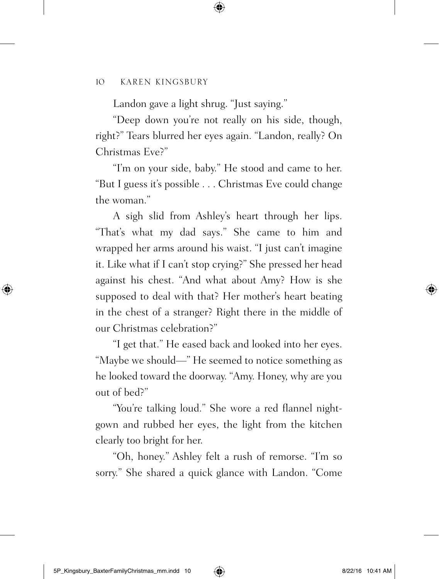Landon gave a light shrug. "Just saying."

"Deep down you're not really on his side, though, right?" Tears blurred her eyes again. "Landon, really? On Christmas Eve?"

"I'm on your side, baby." He stood and came to her. "But I guess it's possible . . . Christmas Eve could change the woman."

A sigh slid from Ashley's heart through her lips. "That's what my dad says." She came to him and wrapped her arms around his waist. "I just can't imagine it. Like what if I can't stop crying?" She pressed her head against his chest. "And what about Amy? How is she supposed to deal with that? Her mother's heart beating in the chest of a stranger? Right there in the middle of our Christmas celebration?"

"I get that." He eased back and looked into her eyes. "Maybe we should—" He seemed to notice something as he looked toward the doorway. "Amy. Honey, why are you out of bed?"

"You're talking loud." She wore a red flannel nightgown and rubbed her eyes, the light from the kitchen clearly too bright for her.

"Oh, honey." Ashley felt a rush of remorse. "I'm so sorry." She shared a quick glance with Landon. "Come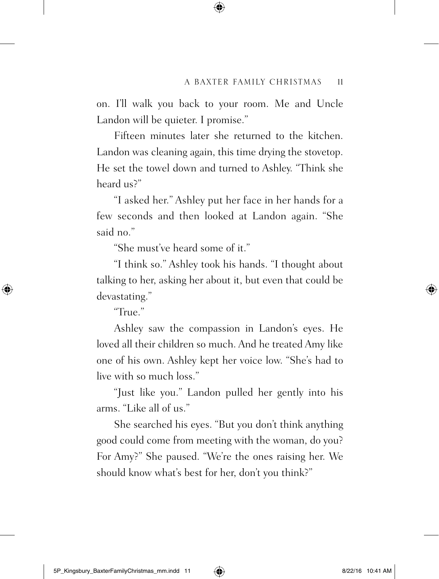on. I'll walk you back to your room. Me and Uncle Landon will be quieter. I promise."

Fifteen minutes later she returned to the kitchen. Landon was cleaning again, this time drying the stovetop. He set the towel down and turned to Ashley. "Think she heard us?"

"I asked her." Ashley put her face in her hands for a few seconds and then looked at Landon again. "She said no."

"She must've heard some of it."

"I think so." Ashley took his hands. "I thought about talking to her, asking her about it, but even that could be devastating."

"True."

Ashley saw the compassion in Landon's eyes. He loved all their children so much. And he treated Amy like one of his own. Ashley kept her voice low. "She's had to live with so much loss."

"Just like you." Landon pulled her gently into his arms. "Like all of us."

She searched his eyes. "But you don't think anything good could come from meeting with the woman, do you? For Amy?" She paused. "We're the ones raising her. We should know what's best for her, don't you think?"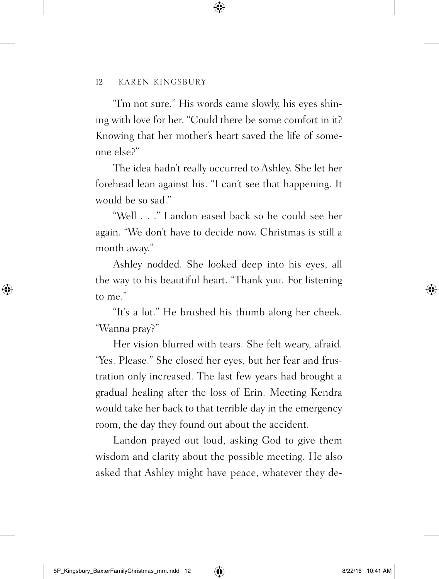"I'm not sure." His words came slowly, his eyes shining with love for her. "Could there be some comfort in it? Knowing that her mother's heart saved the life of someone else?"

The idea hadn't really occurred to Ashley. She let her forehead lean against his. "I can't see that happening. It would be so sad."

"Well . . ." Landon eased back so he could see her again. "We don't have to decide now. Christmas is still a month away."

Ashley nodded. She looked deep into his eyes, all the way to his beautiful heart. "Thank you. For listening to me"

"It's a lot." He brushed his thumb along her cheek. "Wanna pray?"

Her vision blurred with tears. She felt weary, afraid. "Yes. Please." She closed her eyes, but her fear and frustration only increased. The last few years had brought a gradual healing after the loss of Erin. Meeting Kendra would take her back to that terrible day in the emergency room, the day they found out about the accident.

Landon prayed out loud, asking God to give them wisdom and clarity about the possible meeting. He also asked that Ashley might have peace, whatever they de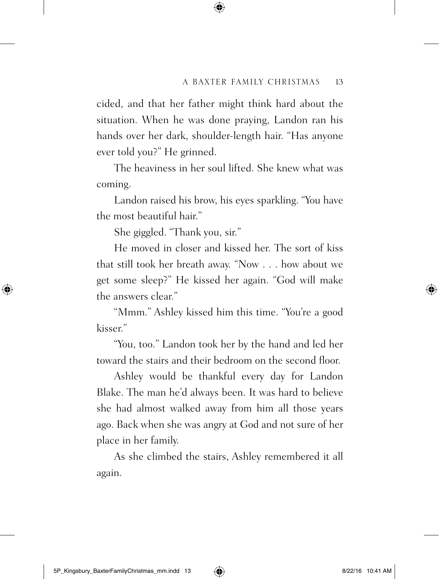cided, and that her father might think hard about the situation. When he was done praying, Landon ran his hands over her dark, shoulder-length hair. "Has anyone ever told you?" He grinned.

The heaviness in her soul lifted. She knew what was coming.

Landon raised his brow, his eyes sparkling. "You have the most beautiful hair"

She giggled. "Thank you, sir."

He moved in closer and kissed her. The sort of kiss that still took her breath away. "Now . . . how about we get some sleep?" He kissed her again. "God will make the answers clear."

"Mmm." Ashley kissed him this time. "You're a good kisser."

"You, too." Landon took her by the hand and led her toward the stairs and their bedroom on the second floor.

Ashley would be thankful every day for Landon Blake. The man he'd always been. It was hard to believe she had almost walked away from him all those years ago. Back when she was angry at God and not sure of her place in her family.

As she climbed the stairs, Ashley remembered it all again.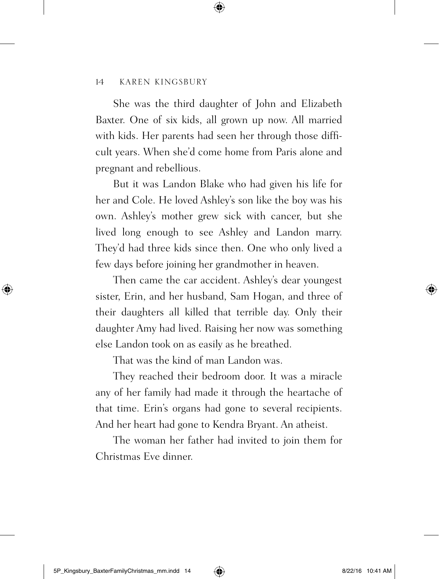She was the third daughter of John and Elizabeth Baxter. One of six kids, all grown up now. All married with kids. Her parents had seen her through those difficult years. When she'd come home from Paris alone and pregnant and rebellious.

But it was Landon Blake who had given his life for her and Cole. He loved Ashley's son like the boy was his own. Ashley's mother grew sick with cancer, but she lived long enough to see Ashley and Landon marry. They'd had three kids since then. One who only lived a few days before joining her grandmother in heaven.

Then came the car accident. Ashley's dear youngest sister, Erin, and her husband, Sam Hogan, and three of their daughters all killed that terrible day. Only their daughter Amy had lived. Raising her now was something else Landon took on as easily as he breathed.

That was the kind of man Landon was.

They reached their bedroom door. It was a miracle any of her family had made it through the heartache of that time. Erin's organs had gone to several recipients. And her heart had gone to Kendra Bryant. An atheist.

The woman her father had invited to join them for Christmas Eve dinner.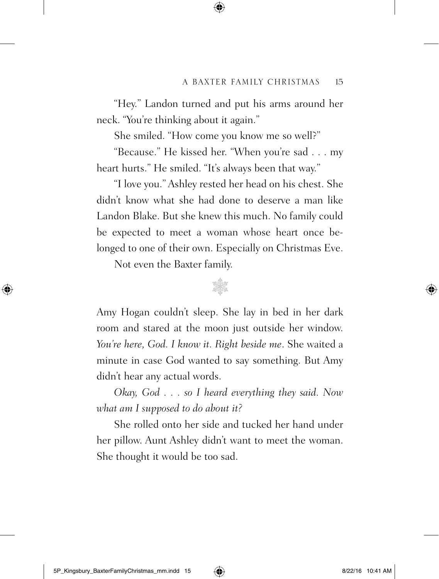"Hey." Landon turned and put his arms around her neck. "You're thinking about it again."

She smiled. "How come you know me so well?"

"Because." He kissed her. "When you're sad . . . my heart hurts." He smiled. "It's always been that way."

"I love you." Ashley rested her head on his chest. She didn't know what she had done to deserve a man like Landon Blake. But she knew this much. No family could be expected to meet a woman whose heart once belonged to one of their own. Especially on Christmas Eve.

Not even the Baxter family.



Amy Hogan couldn't sleep. She lay in bed in her dark room and stared at the moon just outside her window. *You're here, God. I know it. Right beside me*. She waited a minute in case God wanted to say something. But Amy didn't hear any actual words.

*Okay, God . . . so I heard everything they said. Now what am I supposed to do about it?*

She rolled onto her side and tucked her hand under her pillow. Aunt Ashley didn't want to meet the woman. She thought it would be too sad.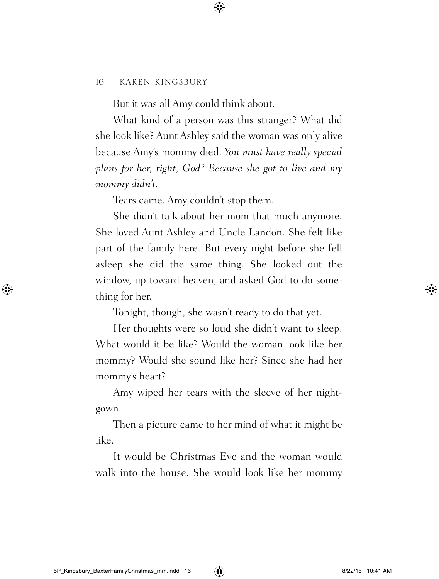But it was all Amy could think about.

What kind of a person was this stranger? What did she look like? Aunt Ashley said the woman was only alive because Amy's mommy died. *You must have really special plans for her, right, God? Because she got to live and my mommy didn't.*

Tears came. Amy couldn't stop them.

She didn't talk about her mom that much anymore. She loved Aunt Ashley and Uncle Landon. She felt like part of the family here. But every night before she fell asleep she did the same thing. She looked out the window, up toward heaven, and asked God to do something for her.

Tonight, though, she wasn't ready to do that yet.

Her thoughts were so loud she didn't want to sleep. What would it be like? Would the woman look like her mommy? Would she sound like her? Since she had her mommy's heart?

Amy wiped her tears with the sleeve of her nightgown.

Then a picture came to her mind of what it might be like.

It would be Christmas Eve and the woman would walk into the house. She would look like her mommy